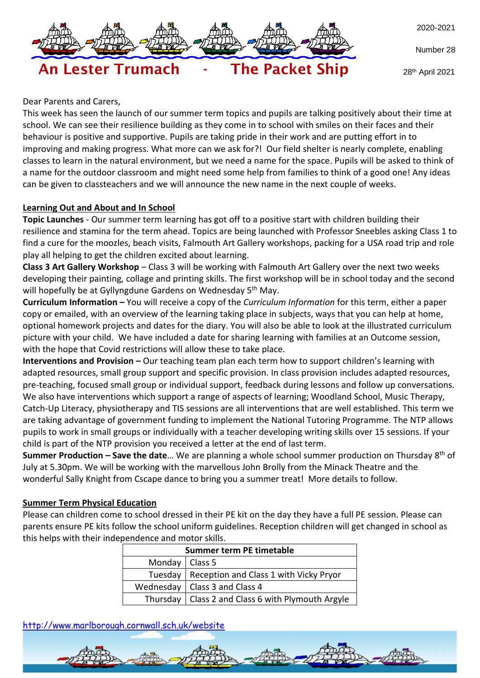

Number 28

An Lester Trumach - The Packet Ship

28th April 2021

### Dear Parents and Carers,

This week has seen the launch of our summer term topics and pupils are talking positively about their time at school. We can see their resilience building as they come in to school with smiles on their faces and their behaviour is positive and supportive. Pupils are taking pride in their work and are putting effort in to improving and making progress. What more can we ask for?! Our field shelter is nearly complete, enabling classes to learn in the natural environment, but we need a name for the space. Pupils will be asked to think of a name for the outdoor classroom and might need some help from families to think of a good one! Any ideas can be given to classteachers and we will announce the new name in the next couple of weeks.

### **Learning Out and About and In School**

**Topic Launches** - Our summer term learning has got off to a positive start with children building their resilience and stamina for the term ahead. Topics are being launched with Professor Sneebles asking Class 1 to find a cure for the moozles, beach visits, Falmouth Art Gallery workshops, packing for a USA road trip and role play all helping to get the children excited about learning.

**Class 3 Art Gallery Workshop** – Class 3 will be working with Falmouth Art Gallery over the next two weeks developing their painting, collage and printing skills. The first workshop will be in school today and the second will hopefully be at Gyllyngdune Gardens on Wednesday 5<sup>th</sup> May.

**Curriculum Information –** You will receive a copy of the *Curriculum Information* for this term, either a paper copy or emailed, with an overview of the learning taking place in subjects, ways that you can help at home, optional homework projects and dates for the diary. You will also be able to look at the illustrated curriculum picture with your child. We have included a date for sharing learning with families at an Outcome session, with the hope that Covid restrictions will allow these to take place.

**Interventions and Provision –** Our teaching team plan each term how to support children's learning with adapted resources, small group support and specific provision. In class provision includes adapted resources, pre-teaching, focused small group or individual support, feedback during lessons and follow up conversations. We also have interventions which support a range of aspects of learning; Woodland School, Music Therapy, Catch-Up Literacy, physiotherapy and TIS sessions are all interventions that are well established. This term we are taking advantage of government funding to implement the National Tutoring Programme. The NTP allows pupils to work in small groups or individually with a teacher developing writing skills over 15 sessions. If your child is part of the NTP provision you received a letter at the end of last term.

**Summer Production – Save the date**… We are planning a whole school summer production on Thursday 8 th of July at 5.30pm. We will be working with the marvellous John Brolly from the Minack Theatre and the wonderful Sally Knight from Cscape dance to bring you a summer treat! More details to follow.

#### **Summer Term Physical Education**

Please can children come to school dressed in their PE kit on the day they have a full PE session. Please can parents ensure PE kits follow the school uniform guidelines. Reception children will get changed in school as this helps with their independence and motor skills.

| Summer term PE timetable |                                                     |  |  |  |
|--------------------------|-----------------------------------------------------|--|--|--|
| Monday   Class 5         |                                                     |  |  |  |
|                          | Tuesday   Reception and Class 1 with Vicky Pryor    |  |  |  |
|                          | Wednesday   Class 3 and Class 4                     |  |  |  |
|                          | Thursday   Class 2 and Class 6 with Plymouth Argyle |  |  |  |

<http://www.marlborough.cornwall.sch.uk/website>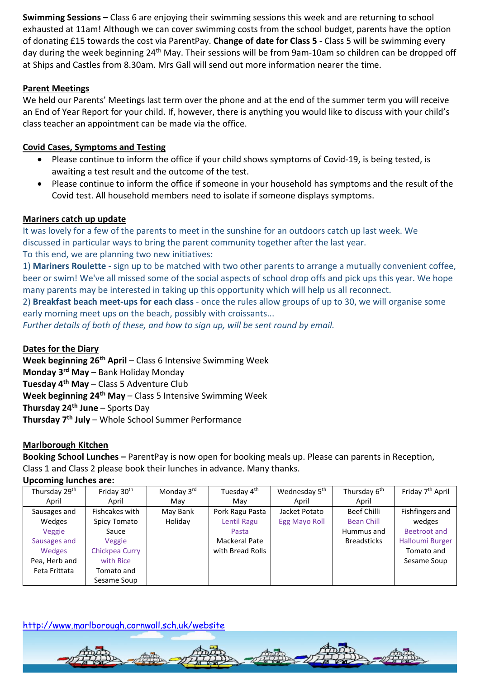**Swimming Sessions –** Class 6 are enjoying their swimming sessions this week and are returning to school exhausted at 11am! Although we can cover swimming costs from the school budget, parents have the option of donating £15 towards the cost via ParentPay. **Change of date for Class 5** - Class 5 will be swimming every day during the week beginning 24<sup>th</sup> May. Their sessions will be from 9am-10am so children can be dropped off at Ships and Castles from 8.30am. Mrs Gall will send out more information nearer the time.

# **Parent Meetings**

We held our Parents' Meetings last term over the phone and at the end of the summer term you will receive an End of Year Report for your child. If, however, there is anything you would like to discuss with your child's class teacher an appointment can be made via the office.

## **Covid Cases, Symptoms and Testing**

- Please continue to inform the office if your child shows symptoms of Covid-19, is being tested, is awaiting a test result and the outcome of the test.
- Please continue to inform the office if someone in your household has symptoms and the result of the Covid test. All household members need to isolate if someone displays symptoms.

## **Mariners catch up update**

It was lovely for a few of the parents to meet in the sunshine for an outdoors catch up last week. We discussed in particular ways to bring the parent community together after the last year. To this end, we are planning two new initiatives:

1) **Mariners Roulette** - sign up to be matched with two other parents to arrange a mutually convenient coffee, beer or swim! We've all missed some of the social aspects of school drop offs and pick ups this year. We hope many parents may be interested in taking up this opportunity which will help us all reconnect.

2) **Breakfast beach meet-ups for each class** - once the rules allow groups of up to 30, we will organise some early morning meet ups on the beach, possibly with croissants...

*Further details of both of these, and how to sign up, will be sent round by email.*

## **Dates for the Diary**

**Week beginning 26th April** – Class 6 Intensive Swimming Week **Monday 3rd May** – Bank Holiday Monday **Tuesday 4th May** – Class 5 Adventure Club **Week beginning 24th May** – Class 5 Intensive Swimming Week **Thursday 24th June** – Sports Day **Thursday 7th July** – Whole School Summer Performance

## **Marlborough Kitchen**

**Booking School Lunches –** ParentPay is now open for booking meals up. Please can parents in Reception, Class 1 and Class 2 please book their lunches in advance. Many thanks.

### **Upcoming lunches are:**

| Thursday 29 <sup>th</sup> | Friday 30 <sup>th</sup> | Monday 3rd | Tuesday 4 <sup>th</sup> | Wednesday 5 <sup>th</sup> | Thursday 6 <sup>th</sup> | Friday 7 <sup>th</sup> April |
|---------------------------|-------------------------|------------|-------------------------|---------------------------|--------------------------|------------------------------|
| April                     | April                   | May        | May                     | April                     | April                    |                              |
| Sausages and              | Fishcakes with          | May Bank   | Pork Ragu Pasta         | Jacket Potato             | Beef Chilli              | Fishfingers and              |
| Wedges                    | Spicy Tomato            | Holiday    | Lentil Ragu             | Egg Mayo Roll             | <b>Bean Chill</b>        | wedges                       |
| Veggie                    | Sauce                   |            | Pasta                   |                           | Hummus and               | Beetroot and                 |
| Sausages and              | Veggie                  |            | Mackeral Pate           |                           | <b>Breadsticks</b>       | <b>Halloumi Burger</b>       |
| Wedges                    | Chickpea Curry          |            | with Bread Rolls        |                           |                          | Tomato and                   |
| Pea, Herb and             | with Rice               |            |                         |                           |                          | Sesame Soup                  |
| Feta Frittata             | Tomato and              |            |                         |                           |                          |                              |
|                           | Sesame Soup             |            |                         |                           |                          |                              |

## <http://www.marlborough.cornwall.sch.uk/website>